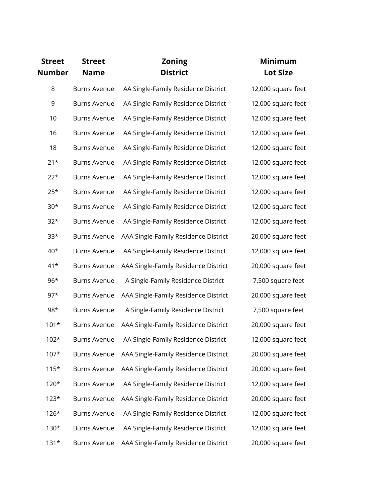| <b>Street</b><br><b>Number</b> | <b>Street</b><br><b>Name</b> | <b>Zoning</b><br><b>District</b>                 | <b>Minimum</b><br><b>Lot Size</b> |
|--------------------------------|------------------------------|--------------------------------------------------|-----------------------------------|
| 8                              | <b>Burns Avenue</b>          | AA Single-Family Residence District              | 12,000 square feet                |
| 9                              | <b>Burns Avenue</b>          | AA Single-Family Residence District              | 12,000 square feet                |
| 10                             | <b>Burns Avenue</b>          | AA Single-Family Residence District              | 12,000 square feet                |
| 16                             | <b>Burns Avenue</b>          | AA Single-Family Residence District              | 12,000 square feet                |
| 18                             | <b>Burns Avenue</b>          | AA Single-Family Residence District              | 12,000 square feet                |
| $21*$                          | <b>Burns Avenue</b>          | AA Single-Family Residence District              | 12,000 square feet                |
| $22*$                          | <b>Burns Avenue</b>          | AA Single-Family Residence District              | 12,000 square feet                |
| $25*$                          | <b>Burns Avenue</b>          | AA Single-Family Residence District              | 12,000 square feet                |
| $30*$                          | <b>Burns Avenue</b>          | AA Single-Family Residence District              | 12,000 square feet                |
| $32*$                          | <b>Burns Avenue</b>          | AA Single-Family Residence District              | 12,000 square feet                |
| $33*$                          | <b>Burns Avenue</b>          | AAA Single-Family Residence District             | 20,000 square feet                |
| $40*$                          | <b>Burns Avenue</b>          | AA Single-Family Residence District              | 12,000 square feet                |
| $41*$                          | <b>Burns Avenue</b>          | AAA Single-Family Residence District             | 20,000 square feet                |
| $96*$                          | <b>Burns Avenue</b>          | A Single-Family Residence District               | 7,500 square feet                 |
| $97*$                          | <b>Burns Avenue</b>          | AAA Single-Family Residence District             | 20,000 square feet                |
| 98*                            | <b>Burns Avenue</b>          | A Single-Family Residence District               | 7,500 square feet                 |
| $101*$                         | <b>Burns Avenue</b>          | AAA Single-Family Residence District             | 20,000 square feet                |
| $102*$                         |                              | Burns Avenue AA Single-Family Residence District | 12,000 square feet                |
| $107*$                         | <b>Burns Avenue</b>          | AAA Single-Family Residence District             | 20,000 square feet                |
| $115*$                         | <b>Burns Avenue</b>          | AAA Single-Family Residence District             | 20,000 square feet                |
| $120*$                         | <b>Burns Avenue</b>          | AA Single-Family Residence District              | 12,000 square feet                |
| $123*$                         | <b>Burns Avenue</b>          | AAA Single-Family Residence District             | 20,000 square feet                |
| $126*$                         | <b>Burns Avenue</b>          | AA Single-Family Residence District              | 12,000 square feet                |
| $130*$                         | <b>Burns Avenue</b>          | AA Single-Family Residence District              | 12,000 square feet                |
| $131*$                         | <b>Burns Avenue</b>          | AAA Single-Family Residence District             | 20,000 square feet                |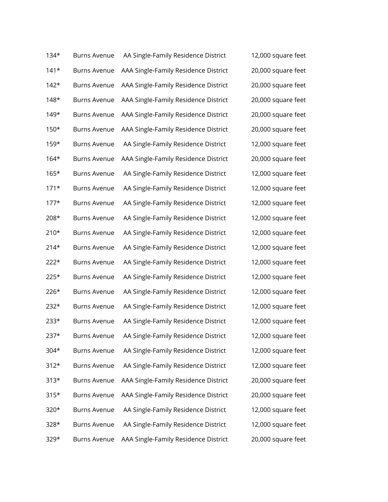| $134*$ | <b>Burns Avenue</b> | AA Single-Family Residence District  | 12,000 square feet |
|--------|---------------------|--------------------------------------|--------------------|
| $141*$ | <b>Burns Avenue</b> | AAA Single-Family Residence District | 20,000 square feet |
| $142*$ | <b>Burns Avenue</b> | AAA Single-Family Residence District | 20,000 square feet |
| $148*$ | <b>Burns Avenue</b> | AAA Single-Family Residence District | 20,000 square feet |
| $149*$ | <b>Burns Avenue</b> | AAA Single-Family Residence District | 20,000 square feet |
| $150*$ | <b>Burns Avenue</b> | AAA Single-Family Residence District | 20,000 square feet |
| $159*$ | <b>Burns Avenue</b> | AA Single-Family Residence District  | 12,000 square feet |
| $164*$ | <b>Burns Avenue</b> | AAA Single-Family Residence District | 20,000 square feet |
| $165*$ | <b>Burns Avenue</b> | AA Single-Family Residence District  | 12,000 square feet |
| $171*$ | <b>Burns Avenue</b> | AA Single-Family Residence District  | 12,000 square feet |
| $177*$ | <b>Burns Avenue</b> | AA Single-Family Residence District  | 12,000 square feet |
| 208*   | <b>Burns Avenue</b> | AA Single-Family Residence District  | 12,000 square feet |
| $210*$ | <b>Burns Avenue</b> | AA Single-Family Residence District  | 12,000 square feet |
| $214*$ | <b>Burns Avenue</b> | AA Single-Family Residence District  | 12,000 square feet |
| $222*$ | <b>Burns Avenue</b> | AA Single-Family Residence District  | 12,000 square feet |
| $225*$ | <b>Burns Avenue</b> | AA Single-Family Residence District  | 12,000 square feet |
| $226*$ | <b>Burns Avenue</b> | AA Single-Family Residence District  | 12,000 square feet |
| 232*   | <b>Burns Avenue</b> | AA Single-Family Residence District  | 12,000 square feet |
| 233*   | <b>Burns Avenue</b> | AA Single-Family Residence District  | 12,000 square feet |
| 237*   | <b>Burns Avenue</b> | AA Single-Family Residence District  | 12,000 square feet |
| $304*$ | <b>Burns Avenue</b> | AA Single-Family Residence District  | 12,000 square feet |
| $312*$ | <b>Burns Avenue</b> | AA Single-Family Residence District  | 12,000 square feet |
| $313*$ | <b>Burns Avenue</b> | AAA Single-Family Residence District | 20,000 square feet |
| $315*$ | <b>Burns Avenue</b> | AAA Single-Family Residence District | 20,000 square feet |
| 320*   | <b>Burns Avenue</b> | AA Single-Family Residence District  | 12,000 square feet |
| 328*   | <b>Burns Avenue</b> | AA Single-Family Residence District  | 12,000 square feet |
| 329*   | <b>Burns Avenue</b> | AAA Single-Family Residence District | 20,000 square feet |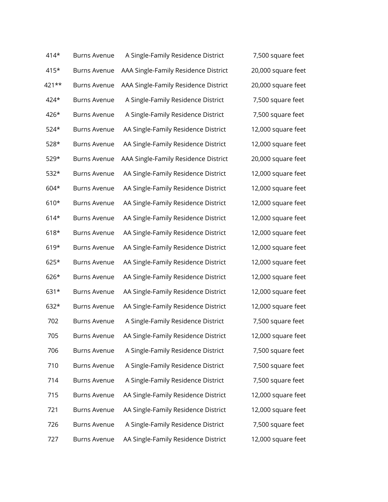| 414*   | <b>Burns Avenue</b> | A Single-Family Residence District   |  |
|--------|---------------------|--------------------------------------|--|
| 415*   | <b>Burns Avenue</b> | AAA Single-Family Residence District |  |
| 421**  | <b>Burns Avenue</b> | AAA Single-Family Residence District |  |
| 424*   | <b>Burns Avenue</b> | A Single-Family Residence District   |  |
| 426*   | <b>Burns Avenue</b> | A Single-Family Residence District   |  |
| $524*$ | <b>Burns Avenue</b> | AA Single-Family Residence District  |  |
| $528*$ | <b>Burns Avenue</b> | AA Single-Family Residence District  |  |
| 529*   | <b>Burns Avenue</b> | AAA Single-Family Residence District |  |
| $532*$ | <b>Burns Avenue</b> | AA Single-Family Residence District  |  |
| 604*   | <b>Burns Avenue</b> | AA Single-Family Residence District  |  |
| 610*   | <b>Burns Avenue</b> | AA Single-Family Residence District  |  |
| $614*$ | <b>Burns Avenue</b> | AA Single-Family Residence District  |  |
| $618*$ | <b>Burns Avenue</b> | AA Single-Family Residence District  |  |
| $619*$ | <b>Burns Avenue</b> | AA Single-Family Residence District  |  |
| $625*$ | <b>Burns Avenue</b> | AA Single-Family Residence District  |  |
| 626*   | <b>Burns Avenue</b> | AA Single-Family Residence District  |  |
| 631*   | <b>Burns Avenue</b> | AA Single-Family Residence District  |  |
| 632*   | <b>Burns Avenue</b> | AA Single-Family Residence District  |  |
| 702    | <b>Burns Avenue</b> | A Single-Family Residence District   |  |
| 705    | <b>Burns Avenue</b> | AA Single-Family Residence District  |  |
| 706    | <b>Burns Avenue</b> | A Single-Family Residence District   |  |
| 710    | <b>Burns Avenue</b> | A Single-Family Residence District   |  |
| 714    | <b>Burns Avenue</b> | A Single-Family Residence District   |  |
| 715    | <b>Burns Avenue</b> | AA Single-Family Residence District  |  |
| 721    | <b>Burns Avenue</b> | AA Single-Family Residence District  |  |
| 726    | <b>Burns Avenue</b> | A Single-Family Residence District   |  |
| 727    | <b>Burns Avenue</b> | AA Single-Family Residence District  |  |

7,500 square feet 20,000 square feet 20,000 square feet 7,500 square feet 7,500 square feet 12,000 square feet 12,000 square feet 20,000 square feet 12,000 square feet 12,000 square feet 12,000 square feet 12,000 square feet 12,000 square feet 12,000 square feet 12,000 square feet 12,000 square feet 12,000 square feet 12,000 square feet 7,500 square feet 12,000 square feet 7,500 square feet 7,500 square feet 7,500 square feet 12,000 square feet 12,000 square feet 7,500 square feet 12,000 square feet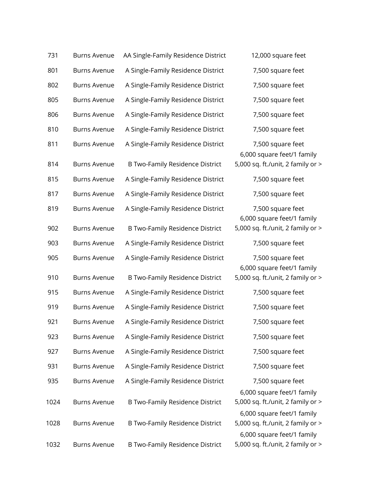| 731  | <b>Burns Avenue</b> | AA Single-Family Residence District    | 12,000 square feet                                              |
|------|---------------------|----------------------------------------|-----------------------------------------------------------------|
| 801  | <b>Burns Avenue</b> | A Single-Family Residence District     | 7,500 square feet                                               |
| 802  | <b>Burns Avenue</b> | A Single-Family Residence District     | 7,500 square feet                                               |
| 805  | <b>Burns Avenue</b> | A Single-Family Residence District     | 7,500 square feet                                               |
| 806  | <b>Burns Avenue</b> | A Single-Family Residence District     | 7,500 square feet                                               |
| 810  | <b>Burns Avenue</b> | A Single-Family Residence District     | 7,500 square feet                                               |
| 811  | <b>Burns Avenue</b> | A Single-Family Residence District     | 7,500 square feet<br>6,000 square feet/1 family                 |
| 814  | <b>Burns Avenue</b> | <b>B Two-Family Residence District</b> | 5,000 sq. ft./unit, 2 family or >                               |
| 815  | <b>Burns Avenue</b> | A Single-Family Residence District     | 7,500 square feet                                               |
| 817  | <b>Burns Avenue</b> | A Single-Family Residence District     | 7,500 square feet                                               |
| 819  | <b>Burns Avenue</b> | A Single-Family Residence District     | 7,500 square feet<br>6,000 square feet/1 family                 |
| 902  | <b>Burns Avenue</b> | B Two-Family Residence District        | 5,000 sq. ft./unit, 2 family or >                               |
| 903  | <b>Burns Avenue</b> | A Single-Family Residence District     | 7,500 square feet                                               |
| 905  | <b>Burns Avenue</b> | A Single-Family Residence District     | 7,500 square feet<br>6,000 square feet/1 family                 |
| 910  | <b>Burns Avenue</b> | <b>B Two-Family Residence District</b> | 5,000 sq. ft./unit, 2 family or >                               |
| 915  | <b>Burns Avenue</b> | A Single-Family Residence District     | 7,500 square feet                                               |
| 919  | <b>Burns Avenue</b> | A Single-Family Residence District     | 7,500 square feet                                               |
| 921  | <b>Burns Avenue</b> | A Single-Family Residence District     | 7,500 square feet                                               |
| 923  | <b>Burns Avenue</b> | A Single-Family Residence District     | 7,500 square feet                                               |
| 927  | <b>Burns Avenue</b> | A Single-Family Residence District     | 7,500 square feet                                               |
| 931  | <b>Burns Avenue</b> | A Single-Family Residence District     | 7,500 square feet                                               |
| 935  | <b>Burns Avenue</b> | A Single-Family Residence District     | 7,500 square feet                                               |
| 1024 | <b>Burns Avenue</b> | B Two-Family Residence District        | 6,000 square feet/1 family<br>5,000 sq. ft./unit, 2 family or > |
| 1028 | <b>Burns Avenue</b> | B Two-Family Residence District        | 6,000 square feet/1 family<br>5,000 sq. ft./unit, 2 family or > |
| 1032 | <b>Burns Avenue</b> | <b>B Two-Family Residence District</b> | 6,000 square feet/1 family<br>5,000 sq. ft./unit, 2 family or > |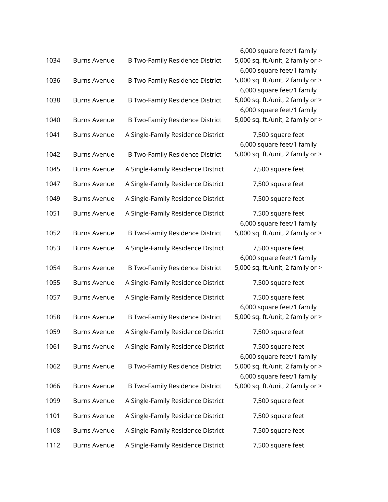|      |                     |                                        | 6,000 square feet/1 family                                      |
|------|---------------------|----------------------------------------|-----------------------------------------------------------------|
| 1034 | <b>Burns Avenue</b> | <b>B Two-Family Residence District</b> | 5,000 sq. ft./unit, 2 family or ><br>6,000 square feet/1 family |
| 1036 | <b>Burns Avenue</b> | <b>B Two-Family Residence District</b> | 5,000 sq. ft./unit, 2 family or ><br>6,000 square feet/1 family |
| 1038 | <b>Burns Avenue</b> | <b>B Two-Family Residence District</b> | 5,000 sq. ft./unit, 2 family or ><br>6,000 square feet/1 family |
| 1040 | <b>Burns Avenue</b> | <b>B Two-Family Residence District</b> | 5,000 sq. ft./unit, 2 family or >                               |
| 1041 | <b>Burns Avenue</b> | A Single-Family Residence District     | 7,500 square feet<br>6,000 square feet/1 family                 |
| 1042 | <b>Burns Avenue</b> | <b>B Two-Family Residence District</b> | 5,000 sq. ft./unit, 2 family or >                               |
| 1045 | <b>Burns Avenue</b> | A Single-Family Residence District     | 7,500 square feet                                               |
| 1047 | <b>Burns Avenue</b> | A Single-Family Residence District     | 7,500 square feet                                               |
| 1049 | <b>Burns Avenue</b> | A Single-Family Residence District     | 7,500 square feet                                               |
| 1051 | <b>Burns Avenue</b> | A Single-Family Residence District     | 7,500 square feet<br>6,000 square feet/1 family                 |
| 1052 | <b>Burns Avenue</b> | <b>B Two-Family Residence District</b> | 5,000 sq. ft./unit, 2 family or >                               |
| 1053 | <b>Burns Avenue</b> | A Single-Family Residence District     | 7,500 square feet<br>6,000 square feet/1 family                 |
| 1054 | <b>Burns Avenue</b> | <b>B Two-Family Residence District</b> | 5,000 sq. ft./unit, 2 family or >                               |
| 1055 | <b>Burns Avenue</b> | A Single-Family Residence District     | 7,500 square feet                                               |
| 1057 | <b>Burns Avenue</b> | A Single-Family Residence District     | 7,500 square feet<br>6,000 square feet/1 family                 |
| 1058 | <b>Burns Avenue</b> | B Two-Family Residence District        | 5,000 sq. ft./unit, 2 family or >                               |
| 1059 | Burns Avenue        | A Single-Family Residence District     | 7,500 square feet                                               |
| 1061 | <b>Burns Avenue</b> | A Single-Family Residence District     | 7,500 square feet<br>6,000 square feet/1 family                 |
| 1062 | <b>Burns Avenue</b> | <b>B Two-Family Residence District</b> | 5,000 sq. ft./unit, 2 family or ><br>6,000 square feet/1 family |
| 1066 | <b>Burns Avenue</b> | B Two-Family Residence District        | 5,000 sq. ft./unit, 2 family or >                               |
| 1099 | <b>Burns Avenue</b> | A Single-Family Residence District     | 7,500 square feet                                               |
| 1101 | <b>Burns Avenue</b> | A Single-Family Residence District     | 7,500 square feet                                               |
| 1108 | <b>Burns Avenue</b> | A Single-Family Residence District     | 7,500 square feet                                               |
| 1112 | <b>Burns Avenue</b> | A Single-Family Residence District     | 7,500 square feet                                               |